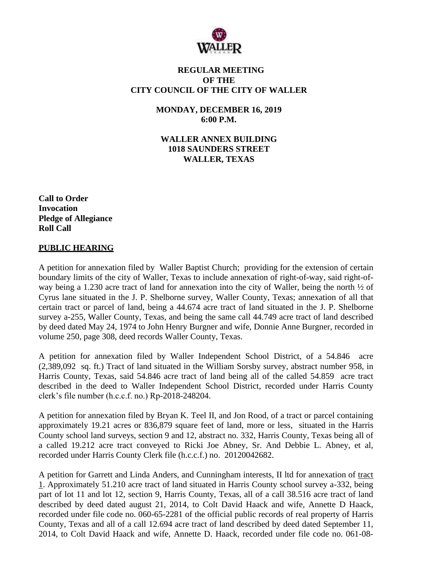

### **REGULAR MEETING OF THE CITY COUNCIL OF THE CITY OF WALLER**

**MONDAY, DECEMBER 16, 2019 6:00 P.M.**

**WALLER ANNEX BUILDING 1018 SAUNDERS STREET WALLER, TEXAS**

**Call to Order Invocation Pledge of Allegiance Roll Call**

### **PUBLIC HEARING**

A petition for annexation filed by Waller Baptist Church; providing for the extension of certain boundary limits of the city of Waller, Texas to include annexation of right-of-way, said right-ofway being a 1.230 acre tract of land for annexation into the city of Waller, being the north ½ of Cyrus lane situated in the J. P. Shelborne survey, Waller County, Texas; annexation of all that certain tract or parcel of land, being a 44.674 acre tract of land situated in the J. P. Shelborne survey a-255, Waller County, Texas, and being the same call 44.749 acre tract of land described by deed dated May 24, 1974 to John Henry Burgner and wife, Donnie Anne Burgner, recorded in volume 250, page 308, deed records Waller County, Texas.

A petition for annexation filed by Waller Independent School District, of a 54.846 acre (2,389,092 sq. ft.) Tract of land situated in the William Sorsby survey, abstract number 958, in Harris County, Texas, said 54.846 acre tract of land being all of the called 54.859 acre tract described in the deed to Waller Independent School District, recorded under Harris County clerk's file number (h.c.c.f. no.) Rp-2018-248204.

A petition for annexation filed by Bryan K. Teel II, and Jon Rood, of a tract or parcel containing approximately 19.21 acres or 836,879 square feet of land, more or less, situated in the Harris County school land surveys, section 9 and 12, abstract no. 332, Harris County, Texas being all of a called 19.212 acre tract conveyed to Ricki Joe Abney, Sr. And Debbie L. Abney, et al, recorded under Harris County Clerk file (h.c.c.f.) no. 20120042682.

A petition for Garrett and Linda Anders, and Cunningham interests, II ltd for annexation of tract 1. Approximately 51.210 acre tract of land situated in Harris County school survey a-332, being part of lot 11 and lot 12, section 9, Harris County, Texas, all of a call 38.516 acre tract of land described by deed dated august 21, 2014, to Colt David Haack and wife, Annette D Haack, recorded under file code no. 060-65-2281 of the official public records of real property of Harris County, Texas and all of a call 12.694 acre tract of land described by deed dated September 11, 2014, to Colt David Haack and wife, Annette D. Haack, recorded under file code no. 061-08-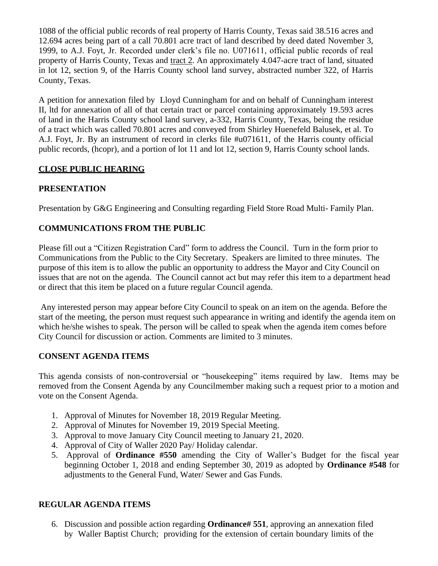1088 of the official public records of real property of Harris County, Texas said 38.516 acres and 12.694 acres being part of a call 70.801 acre tract of land described by deed dated November 3, 1999, to A.J. Foyt, Jr. Recorded under clerk's file no. U071611, official public records of real property of Harris County, Texas and tract 2. An approximately 4.047-acre tract of land, situated in lot 12, section 9, of the Harris County school land survey, abstracted number 322, of Harris County, Texas.

A petition for annexation filed by Lloyd Cunningham for and on behalf of Cunningham interest II, ltd for annexation of all of that certain tract or parcel containing approximately 19.593 acres of land in the Harris County school land survey, a-332, Harris County, Texas, being the residue of a tract which was called 70.801 acres and conveyed from Shirley Huenefeld Balusek, et al. To A.J. Foyt, Jr. By an instrument of record in clerks file #u071611, of the Harris county official public records, (hcopr), and a portion of lot 11 and lot 12, section 9, Harris County school lands.

## **CLOSE PUBLIC HEARING**

# **PRESENTATION**

Presentation by G&G Engineering and Consulting regarding Field Store Road Multi- Family Plan.

# **COMMUNICATIONS FROM THE PUBLIC**

Please fill out a "Citizen Registration Card" form to address the Council. Turn in the form prior to Communications from the Public to the City Secretary. Speakers are limited to three minutes. The purpose of this item is to allow the public an opportunity to address the Mayor and City Council on issues that are not on the agenda. The Council cannot act but may refer this item to a department head or direct that this item be placed on a future regular Council agenda.

Any interested person may appear before City Council to speak on an item on the agenda. Before the start of the meeting, the person must request such appearance in writing and identify the agenda item on which he/she wishes to speak. The person will be called to speak when the agenda item comes before City Council for discussion or action. Comments are limited to 3 minutes.

## **CONSENT AGENDA ITEMS**

This agenda consists of non-controversial or "housekeeping" items required by law. Items may be removed from the Consent Agenda by any Councilmember making such a request prior to a motion and vote on the Consent Agenda.

- 1. Approval of Minutes for November 18, 2019 Regular Meeting.
- 2. Approval of Minutes for November 19, 2019 Special Meeting.
- 3. Approval to move January City Council meeting to January 21, 2020.
- 4. Approval of City of Waller 2020 Pay/ Holiday calendar.
- 5. Approval of **Ordinance #550** amending the City of Waller's Budget for the fiscal year beginning October 1, 2018 and ending September 30, 2019 as adopted by **Ordinance #548** for adjustments to the General Fund, Water/ Sewer and Gas Funds.

## **REGULAR AGENDA ITEMS**

6. Discussion and possible action regarding **Ordinance# 551**, approving an annexation filed by Waller Baptist Church; providing for the extension of certain boundary limits of the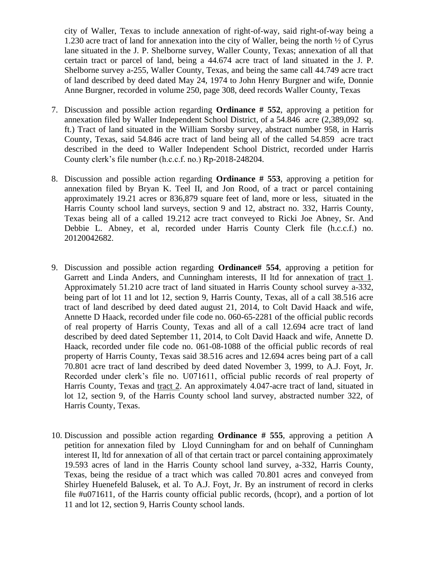city of Waller, Texas to include annexation of right-of-way, said right-of-way being a 1.230 acre tract of land for annexation into the city of Waller, being the north ½ of Cyrus lane situated in the J. P. Shelborne survey, Waller County, Texas; annexation of all that certain tract or parcel of land, being a 44.674 acre tract of land situated in the J. P. Shelborne survey a-255, Waller County, Texas, and being the same call 44.749 acre tract of land described by deed dated May 24, 1974 to John Henry Burgner and wife, Donnie Anne Burgner, recorded in volume 250, page 308, deed records Waller County, Texas

- 7. Discussion and possible action regarding **Ordinance # 552**, approving a petition for annexation filed by Waller Independent School District, of a 54.846 acre (2,389,092 sq. ft.) Tract of land situated in the William Sorsby survey, abstract number 958, in Harris County, Texas, said 54.846 acre tract of land being all of the called 54.859 acre tract described in the deed to Waller Independent School District, recorded under Harris County clerk's file number (h.c.c.f. no.) Rp-2018-248204.
- 8. Discussion and possible action regarding **Ordinance # 553**, approving a petition for annexation filed by Bryan K. Teel II, and Jon Rood, of a tract or parcel containing approximately 19.21 acres or 836,879 square feet of land, more or less, situated in the Harris County school land surveys, section 9 and 12, abstract no. 332, Harris County, Texas being all of a called 19.212 acre tract conveyed to Ricki Joe Abney, Sr. And Debbie L. Abney, et al, recorded under Harris County Clerk file (h.c.c.f.) no. 20120042682.
- 9. Discussion and possible action regarding **Ordinance# 554**, approving a petition for Garrett and Linda Anders, and Cunningham interests, II ltd for annexation of tract 1. Approximately 51.210 acre tract of land situated in Harris County school survey a-332, being part of lot 11 and lot 12, section 9, Harris County, Texas, all of a call 38.516 acre tract of land described by deed dated august 21, 2014, to Colt David Haack and wife, Annette D Haack, recorded under file code no. 060-65-2281 of the official public records of real property of Harris County, Texas and all of a call 12.694 acre tract of land described by deed dated September 11, 2014, to Colt David Haack and wife, Annette D. Haack, recorded under file code no. 061-08-1088 of the official public records of real property of Harris County, Texas said 38.516 acres and 12.694 acres being part of a call 70.801 acre tract of land described by deed dated November 3, 1999, to A.J. Foyt, Jr. Recorded under clerk's file no. U071611, official public records of real property of Harris County, Texas and tract 2. An approximately 4.047-acre tract of land, situated in lot 12, section 9, of the Harris County school land survey, abstracted number 322, of Harris County, Texas.
- 10. Discussion and possible action regarding **Ordinance # 555**, approving a petition A petition for annexation filed by Lloyd Cunningham for and on behalf of Cunningham interest II, ltd for annexation of all of that certain tract or parcel containing approximately 19.593 acres of land in the Harris County school land survey, a-332, Harris County, Texas, being the residue of a tract which was called 70.801 acres and conveyed from Shirley Huenefeld Balusek, et al. To A.J. Foyt, Jr. By an instrument of record in clerks file #u071611, of the Harris county official public records, (hcopr), and a portion of lot 11 and lot 12, section 9, Harris County school lands.